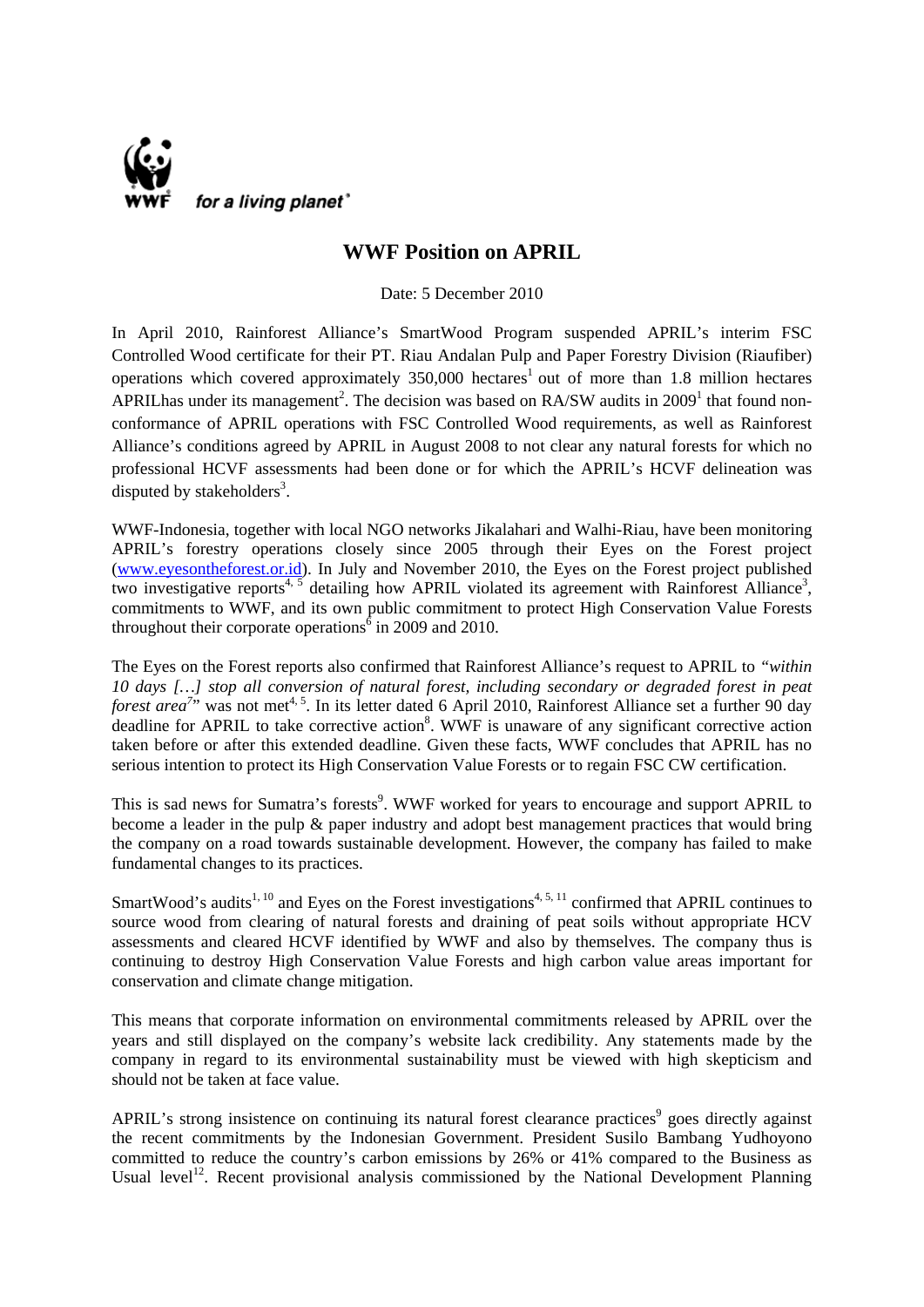

## **WWF Position on APRIL**

Date: 5 December 2010

In April 2010, Rainforest Alliance's SmartWood Program suspended APRIL's interim FSC Controlled Wood certificate for their PT. Riau Andalan Pulp and Paper Forestry Division (Riaufiber) operations which covered approximately  $350,000$  hectares<sup>1</sup> out of more than 1.8 million hectares APRIL has under its management<sup>2</sup>. The decision was based on RA/SW audits in 2009<sup>1</sup> that found nonconformance of APRIL operations with FSC Controlled Wood requirements, as well as Rainforest Alliance's conditions agreed by APRIL in August 2008 to not clear any natural forests for which no professional HCVF assessments had been done or for which the APRIL's HCVF delineation was disputed by stakeholders $3$ .

WWF-Indonesia, together with local NGO networks Jikalahari and Walhi-Riau, have been monitoring APRIL's forestry operations closely since 2005 through their Eyes on the Forest project ([www.eyesontheforest.or.id](http://www.eyesontheforest.or.id/)). In July and November 2010, the Eyes on the Forest project published two investigative reports<sup>4, 5</sup> detailing how APRIL violated its agreement with Rainforest Alliance<sup>3</sup>, commitments to WWF, and its own public commitment to protect High Conservation Value Forests throughout their corporate operations  $\delta$  in 2009 and 2010.

The Eyes on the Forest reports also confirmed that Rainforest Alliance's request to APRIL to *"within 10 days […] stop all conversion of natural forest, including secondary or degraded forest in peat forest area*<sup>7</sup><sup>,</sup> was not met<sup>4, 5</sup>. In its letter dated 6 April 2010, Rainforest Alliance set a further 90 day deadline for APRIL to take corrective action<sup>8</sup>. WWF is unaware of any significant corrective action taken before or after this extended deadline. Given these facts, WWF concludes that APRIL has no serious intention to protect its High Conservation Value Forests or to regain FSC CW certification.

This is sad news for Sumatra's forests<sup>9</sup>. WWF worked for years to encourage and support APRIL to become a leader in the pulp & paper industry and adopt best management practices that would bring the company on a road towards sustainable development. However, the company has failed to make fundamental changes to its practices.

SmartWood's audits<sup>1, 10</sup> and Eyes on the Forest investigations<sup>4, 5, 11</sup> confirmed that APRIL continues to source wood from clearing of natural forests and draining of peat soils without appropriate HCV assessments and cleared HCVF identified by WWF and also by themselves. The company thus is continuing to destroy High Conservation Value Forests and high carbon value areas important for conservation and climate change mitigation.

This means that corporate information on environmental commitments released by APRIL over the years and still displayed on the company's website lack credibility. Any statements made by the company in regard to its environmental sustainability must be viewed with high skepticism and should not be taken at face value.

APRIL's strong insistence on continuing its natural forest clearance practices<sup>9</sup> goes directly against the recent commitments by the Indonesian Government. President Susilo Bambang Yudhoyono committed to reduce the country's carbon emissions by 26% or 41% compared to the Business as Usual level<sup>12</sup>. Recent provisional analysis commissioned by the National Development Planning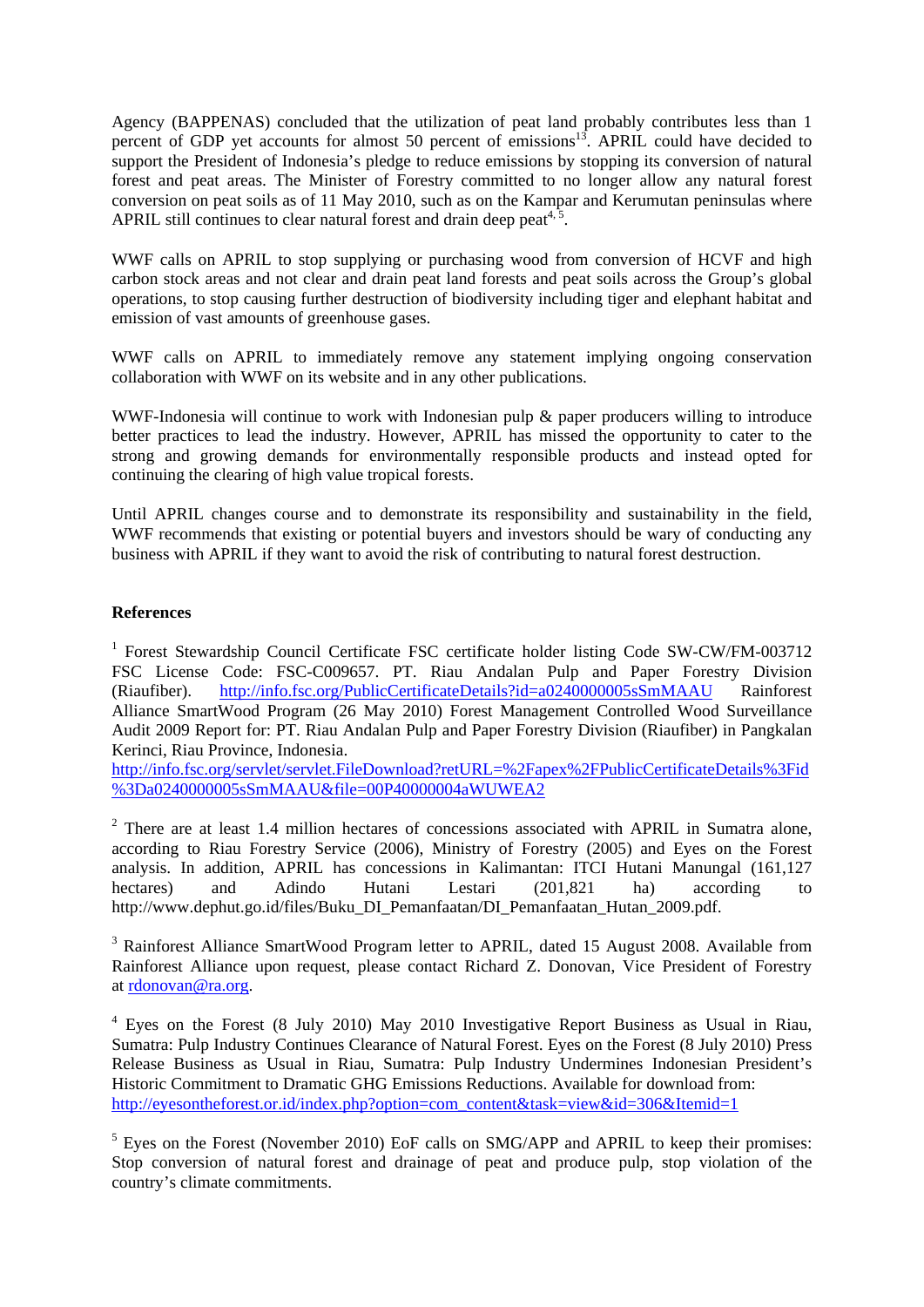Agency (BAPPENAS) concluded that the utilization of peat land probably contributes less than 1 percent of GDP yet accounts for almost 50 percent of emissions<sup>13</sup>. APRIL could have decided to support the President of Indonesia's pledge to reduce emissions by stopping its conversion of natural forest and peat areas. The Minister of Forestry committed to no longer allow any natural forest conversion on peat soils as of 11 May 2010, such as on the Kampar and Kerumutan peninsulas where APRIL still continues to clear natural forest and drain deep peat<sup> $4,5$ </sup>.

WWF calls on APRIL to stop supplying or purchasing wood from conversion of HCVF and high carbon stock areas and not clear and drain peat land forests and peat soils across the Group's global operations, to stop causing further destruction of biodiversity including tiger and elephant habitat and emission of vast amounts of greenhouse gases.

WWF calls on APRIL to immediately remove any statement implying ongoing conservation collaboration with WWF on its website and in any other publications.

WWF-Indonesia will continue to work with Indonesian pulp & paper producers willing to introduce better practices to lead the industry. However, APRIL has missed the opportunity to cater to the strong and growing demands for environmentally responsible products and instead opted for continuing the clearing of high value tropical forests.

Until APRIL changes course and to demonstrate its responsibility and sustainability in the field, WWF recommends that existing or potential buyers and investors should be wary of conducting any business with APRIL if they want to avoid the risk of contributing to natural forest destruction.

## **References**

<sup>1</sup> Forest Stewardship Council Certificate FSC certificate holder listing Code SW-CW/FM-003712 FSC License Code: FSC-C009657. PT. Riau Andalan Pulp and Paper Forestry Division (Riaufiber). <http://info.fsc.org/PublicCertificateDetails?id=a0240000005sSmMAAU> Rainforest Alliance SmartWood Program (26 May 2010) Forest Management Controlled Wood Surveillance Audit 2009 Report for: PT. Riau Andalan Pulp and Paper Forestry Division (Riaufiber) in Pangkalan Kerinci, Riau Province, Indonesia.

[http://info.fsc.org/servlet/servlet.FileDownload?retURL=%2Fapex%2FPublicCertificateDetails%3Fid](http://info.fsc.org/servlet/servlet.FileDownload?retURL=%2Fapex%2FPublicCertificateDetails%3Fid%3Da0240000005sSmMAAU&file=00P40000004aWUWEA2) [%3Da0240000005sSmMAAU&file=00P40000004aWUWEA2](http://info.fsc.org/servlet/servlet.FileDownload?retURL=%2Fapex%2FPublicCertificateDetails%3Fid%3Da0240000005sSmMAAU&file=00P40000004aWUWEA2)

 $2$  There are at least 1.4 million hectares of concessions associated with APRIL in Sumatra alone, according to Riau Forestry Service (2006), Ministry of Forestry (2005) and Eyes on the Forest analysis. In addition, APRIL has concessions in Kalimantan: ITCI Hutani Manungal (161,127 hectares) and Adindo Hutani Lestari (201,821 ha) according to http://www.dephut.go.id/files/Buku\_DI\_Pemanfaatan/DI\_Pemanfaatan\_Hutan\_2009.pdf.

<sup>3</sup> Rainforest Alliance SmartWood Program letter to APRIL, dated 15 August 2008. Available from Rainforest Alliance upon request, please contact Richard Z. Donovan, Vice President of Forestry at [rdonovan@ra.org](mailto:rdonovan@ra.org).

<sup>4</sup> Eyes on the Forest (8 July 2010) May 2010 Investigative Report Business as Usual in Riau, Sumatra: Pulp Industry Continues Clearance of Natural Forest. Eyes on the Forest (8 July 2010) Press Release Business as Usual in Riau, Sumatra: Pulp Industry Undermines Indonesian President's Historic Commitment to Dramatic GHG Emissions Reductions. Available for download from: [http://eyesontheforest.or.id/index.php?option=com\\_content&task=view&id=306&Itemid=1](http://eyesontheforest.or.id/index.php?option=com_content&task=view&id=306&Itemid=1)

 $<sup>5</sup>$  Eyes on the Forest (November 2010) EoF calls on SMG/APP and APRIL to keep their promises:</sup> Stop conversion of natural forest and drainage of peat and produce pulp, stop violation of the country's climate commitments.